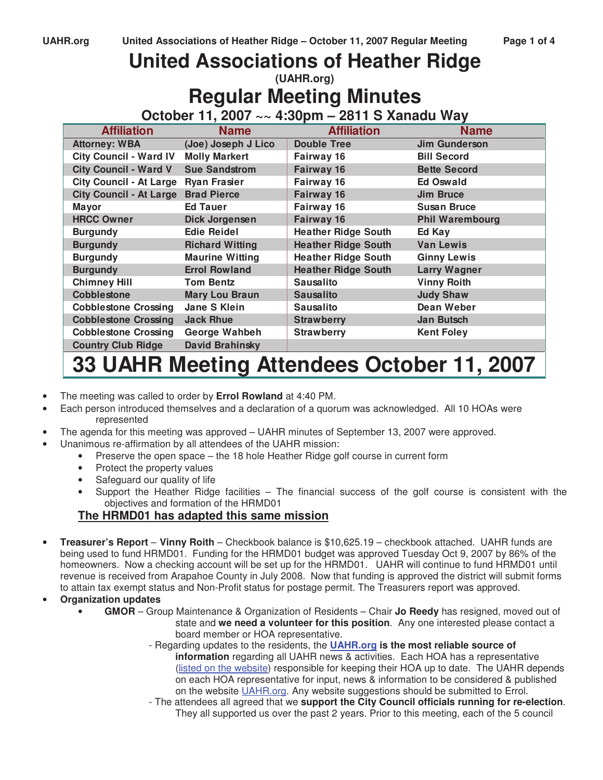# **United Associations of Heather Ridge (UAHR.org)**

**Regular Meeting Minutes** 

**October 11, 2007 ~~ 4:30pm – 2811 S Xanadu Way** 

| <b>Affiliation</b>             | <b>Name</b>            | <b>Affiliation</b>         | <b>Name</b>            |
|--------------------------------|------------------------|----------------------------|------------------------|
| <b>Attorney: WBA</b>           | (Joe) Joseph J Lico    | <b>Double Tree</b>         | <b>Jim Gunderson</b>   |
| <b>City Council - Ward IV</b>  | <b>Molly Markert</b>   | Fairway 16                 | <b>Bill Secord</b>     |
| <b>City Council - Ward V</b>   | <b>Sue Sandstrom</b>   | Fairway 16                 | <b>Bette Secord</b>    |
| <b>City Council - At Large</b> | <b>Ryan Frasier</b>    | Fairway 16                 | <b>Ed Oswald</b>       |
| <b>City Council - At Large</b> | <b>Brad Pierce</b>     | Fairway 16                 | <b>Jim Bruce</b>       |
| <b>Mayor</b>                   | <b>Ed Tauer</b>        | Fairway 16                 | <b>Susan Bruce</b>     |
| <b>HRCC Owner</b>              | Dick Jorgensen         | Fairway 16                 | <b>Phil Warembourg</b> |
| <b>Burgundy</b>                | <b>Edie Reidel</b>     | <b>Heather Ridge South</b> | Ed Kay                 |
| <b>Burgundy</b>                | <b>Richard Witting</b> | <b>Heather Ridge South</b> | <b>Van Lewis</b>       |
| <b>Burgundy</b>                | <b>Maurine Witting</b> | <b>Heather Ridge South</b> | <b>Ginny Lewis</b>     |
| <b>Burgundy</b>                | <b>Errol Rowland</b>   | <b>Heather Ridge South</b> | <b>Larry Wagner</b>    |
| <b>Chimney Hill</b>            | <b>Tom Bentz</b>       | <b>Sausalito</b>           | <b>Vinny Roith</b>     |
| <b>Cobblestone</b>             | <b>Mary Lou Braun</b>  | <b>Sausalito</b>           | <b>Judy Shaw</b>       |
| <b>Cobblestone Crossing</b>    | Jane S Klein           | <b>Sausalito</b>           | Dean Weber             |
| <b>Cobblestone Crossing</b>    | <b>Jack Rhue</b>       | <b>Strawberry</b>          | Jan Butsch             |
| <b>Cobblestone Crossing</b>    | George Wahbeh          | <b>Strawberry</b>          | <b>Kent Foley</b>      |
| <b>Country Club Ridge</b>      | <b>David Brahinsky</b> |                            |                        |

# **33 UAHR Meeting Attendees October 11, 2007**

- The meeting was called to order by **Errol Rowland** at 4:40 PM.
- Each person introduced themselves and a declaration of a quorum was acknowledged. All 10 HOAs were represented
- The agenda for this meeting was approved UAHR minutes of September 13, 2007 were approved.
- Unanimous re-affirmation by all attendees of the UAHR mission:
	- Preserve the open space the 18 hole Heather Ridge golf course in current form
	- Protect the property values
	- Safeguard our quality of life
	- Support the Heather Ridge facilities The financial success of the golf course is consistent with the objectives and formation of the HRMD01

# **The HRMD01 has adapted this same mission**

- **Treasurer's Report Vinny Roith** Checkbook balance is \$10,625.19 checkbook attached. UAHR funds are being used to fund HRMD01. Funding for the HRMD01 budget was approved Tuesday Oct 9, 2007 by 86% of the homeowners. Now a checking account will be set up for the HRMD01. UAHR will continue to fund HRMD01 until revenue is received from Arapahoe County in July 2008. Now that funding is approved the district will submit forms to attain tax exempt status and Non-Profit status for postage permit. The Treasurers report was approved.
- **Organization updates** 
	- **GMOR** Group Maintenance & Organization of Residents Chair **Jo Reedy** has resigned, moved out of state and **we need a volunteer for this position**. Any one interested please contact a board member or HOA representative.
		- Regarding updates to the residents, the **UAHR.org is the most reliable source of information** regarding all UAHR news & activities. Each HOA has a representative (listed on the website) responsible for keeping their HOA up to date. The UAHR depends on each HOA representative for input, news & information to be considered & published on the website UAHR.org. Any website suggestions should be submitted to Errol.
		- The attendees all agreed that we **support the City Council officials running for re-election**. They all supported us over the past 2 years. Prior to this meeting, each of the 5 council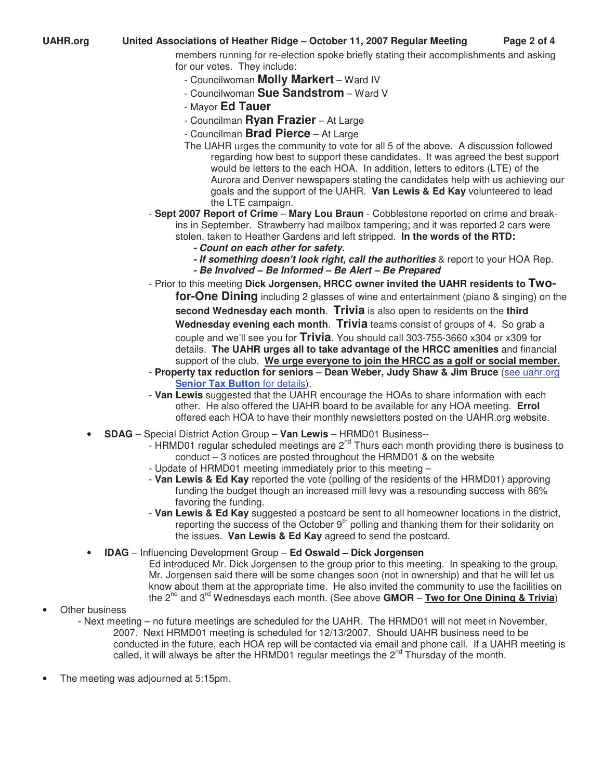## **UAHR.org United Associations of Heather Ridge – October 11, 2007 Regular Meeting Page 2 of 4**

members running for re-election spoke briefly stating their accomplishments and asking for our votes. They include:

- Councilwoman **Molly Markert** Ward IV
- Councilwoman **Sue Sandstrom** Ward V
- Mayor **Ed Tauer**
- Councilman **Ryan Frazier** At Large
- Councilman **Brad Pierce** At Large
- The UAHR urges the community to vote for all 5 of the above. A discussion followed regarding how best to support these candidates. It was agreed the best support would be letters to the each HOA. In addition, letters to editors (LTE) of the Aurora and Denver newspapers stating the candidates help with us achieving our goals and the support of the UAHR. **Van Lewis & Ed Kay** volunteered to lead the LTE campaign.
- **Sept 2007 Report of Crime Mary Lou Braun** Cobblestone reported on crime and breakins in September. Strawberry had mailbox tampering; and it was reported 2 cars were stolen, taken to Heather Gardens and left stripped. **In the words of the RTD:**
	- **Count on each other for safety.**
	- **If something doesn't look right, call the authorities** & report to your HOA Rep.
	- **Be Involved Be Informed Be Alert Be Prepared**
- Prior to this meeting **Dick Jorgensen, HRCC owner invited the UAHR residents to Twofor-One Dining** including 2 glasses of wine and entertainment (piano & singing) on the **second Wednesday each month**. **Trivia** is also open to residents on the **third Wednesday evening each month**. **Trivia** teams consist of groups of 4. So grab a couple and we'll see you for **Trivia**. You should call 303-755-3660 x304 or x309 for details. **The UAHR urges all to take advantage of the HRCC amenities** and financial support of the club. **We urge everyone to join the HRCC as a golf or social member.**
- **Property tax reduction for seniors Dean Weber, Judy Shaw & Jim Bruce** (see uahr.org **Senior Tax Button** for details).
- **Van Lewis** suggested that the UAHR encourage the HOAs to share information with each other. He also offered the UAHR board to be available for any HOA meeting. **Errol**  offered each HOA to have their monthly newsletters posted on the UAHR.org website.
- **SDAG** Special District Action Group **Van Lewis** HRMD01 Business--
	- HRMD01 regular scheduled meetings are  $2<sup>nd</sup>$  Thurs each month providing there is business to conduct – 3 notices are posted throughout the HRMD01 & on the website
	- Update of HRMD01 meeting immediately prior to this meeting –
	- **Van Lewis & Ed Kay** reported the vote (polling of the residents of the HRMD01) approving funding the budget though an increased mill levy was a resounding success with 86% favoring the funding.
	- **Van Lewis & Ed Kay** suggested a postcard be sent to all homeowner locations in the district, reporting the success of the October  $9<sup>th</sup>$  polling and thanking them for their solidarity on the issues. **Van Lewis & Ed Kay** agreed to send the postcard.
- **IDAG** Influencing Development Group **Ed Oswald Dick Jorgensen**

Ed introduced Mr. Dick Jorgensen to the group prior to this meeting. In speaking to the group, Mr. Jorgensen said there will be some changes soon (not in ownership) and that he will let us know about them at the appropriate time. He also invited the community to use the facilities on the 2nd and 3rd Wednesdays each month. (See above **GMOR** – **Two for One Dining & Trivia**)

- **Other business** 
	- Next meeting no future meetings are scheduled for the UAHR. The HRMD01 will not meet in November, 2007. Next HRMD01 meeting is scheduled for 12/13/2007. Should UAHR business need to be conducted in the future, each HOA rep will be contacted via email and phone call. If a UAHR meeting is called, it will always be after the HRMD01 regular meetings the 2<sup>nd</sup> Thursday of the month.
- The meeting was adjourned at 5:15pm.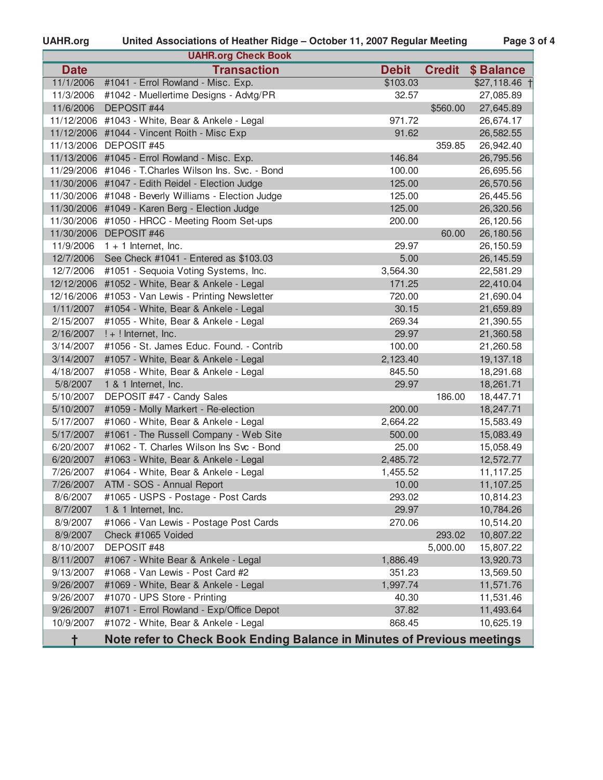# UAHR.org United Associations of Heather Ridge - October 11, 2007 Regular Meeting Page 3 of 4

|             | <b>UAHR.org Check Book</b>                                              |              |               |                |
|-------------|-------------------------------------------------------------------------|--------------|---------------|----------------|
| <b>Date</b> | <b>Transaction</b>                                                      | <b>Debit</b> | <b>Credit</b> | \$ Balance     |
| 11/1/2006   | #1041 - Errol Rowland - Misc. Exp.                                      | \$103.03     |               | $$27,118.46$ + |
| 11/3/2006   | #1042 - Muellertime Designs - Advtg/PR                                  | 32.57        |               | 27,085.89      |
| 11/6/2006   | DEPOSIT #44                                                             |              | \$560.00      | 27,645.89      |
|             | 11/12/2006 #1043 - White, Bear & Ankele - Legal                         | 971.72       |               | 26,674.17      |
|             | 11/12/2006 #1044 - Vincent Roith - Misc Exp                             | 91.62        |               | 26,582.55      |
|             | 11/13/2006 DEPOSIT #45                                                  |              | 359.85        | 26,942.40      |
|             | 11/13/2006 #1045 - Errol Rowland - Misc. Exp.                           | 146.84       |               | 26,795.56      |
|             | 11/29/2006 #1046 - T. Charles Wilson Ins. Svc. - Bond                   | 100.00       |               | 26,695.56      |
|             | 11/30/2006 #1047 - Edith Reidel - Election Judge                        | 125.00       |               | 26,570.56      |
|             | 11/30/2006 #1048 - Beverly Williams - Election Judge                    | 125.00       |               | 26,445.56      |
|             | 11/30/2006 #1049 - Karen Berg - Election Judge                          | 125.00       |               | 26,320.56      |
|             | 11/30/2006 #1050 - HRCC - Meeting Room Set-ups                          | 200.00       |               | 26,120.56      |
|             | 11/30/2006 DEPOSIT #46                                                  |              | 60.00         | 26,180.56      |
| 11/9/2006   | $1 + 1$ Internet, Inc.                                                  | 29.97        |               | 26,150.59      |
| 12/7/2006   | See Check #1041 - Entered as \$103.03                                   | 5.00         |               | 26,145.59      |
| 12/7/2006   | #1051 - Sequoia Voting Systems, Inc.                                    | 3,564.30     |               | 22,581.29      |
| 12/12/2006  | #1052 - White, Bear & Ankele - Legal                                    | 171.25       |               | 22,410.04      |
|             | 12/16/2006 #1053 - Van Lewis - Printing Newsletter                      | 720.00       |               | 21,690.04      |
| 1/11/2007   | #1054 - White, Bear & Ankele - Legal                                    | 30.15        |               | 21,659.89      |
| 2/15/2007   | #1055 - White, Bear & Ankele - Legal                                    | 269.34       |               | 21,390.55      |
| 2/16/2007   | $! + !$ Internet, Inc.                                                  | 29.97        |               | 21,360.58      |
| 3/14/2007   | #1056 - St. James Educ. Found. - Contrib                                | 100.00       |               | 21,260.58      |
| 3/14/2007   | #1057 - White, Bear & Ankele - Legal                                    | 2,123.40     |               | 19,137.18      |
| 4/18/2007   | #1058 - White, Bear & Ankele - Legal                                    | 845.50       |               | 18,291.68      |
| 5/8/2007    | 1 & 1 Internet, Inc.                                                    | 29.97        |               | 18,261.71      |
| 5/10/2007   | DEPOSIT #47 - Candy Sales                                               |              | 186.00        | 18,447.71      |
| 5/10/2007   | #1059 - Molly Markert - Re-election                                     | 200.00       |               | 18,247.71      |
| 5/17/2007   | #1060 - White, Bear & Ankele - Legal                                    | 2,664.22     |               | 15,583.49      |
| 5/17/2007   | #1061 - The Russell Company - Web Site                                  | 500.00       |               | 15,083.49      |
| 6/20/2007   | #1062 - T. Charles Wilson Ins Svc - Bond                                | 25.00        |               | 15,058.49      |
| 6/20/2007   | #1063 - White, Bear & Ankele - Legal                                    | 2,485.72     |               | 12,572.77      |
| 7/26/2007   | #1064 - White, Bear & Ankele - Legal                                    | 1,455.52     |               | 11,117.25      |
| 7/26/2007   | ATM - SOS - Annual Report                                               | 10.00        |               | 11,107.25      |
| 8/6/2007    | #1065 - USPS - Postage - Post Cards                                     | 293.02       |               | 10,814.23      |
| 8/7/2007    | 1 & 1 Internet, Inc.                                                    | 29.97        |               | 10,784.26      |
| 8/9/2007    | #1066 - Van Lewis - Postage Post Cards                                  | 270.06       |               | 10,514.20      |
| 8/9/2007    | Check #1065 Voided                                                      |              | 293.02        | 10,807.22      |
| 8/10/2007   | DEPOSIT #48                                                             |              | 5,000.00      | 15,807.22      |
| 8/11/2007   | #1067 - White Bear & Ankele - Legal                                     | 1,886.49     |               | 13,920.73      |
| 9/13/2007   | #1068 - Van Lewis - Post Card #2                                        | 351.23       |               | 13,569.50      |
| 9/26/2007   | #1069 - White, Bear & Ankele - Legal                                    | 1,997.74     |               | 11,571.76      |
| 9/26/2007   | #1070 - UPS Store - Printing                                            | 40.30        |               | 11,531.46      |
| 9/26/2007   | #1071 - Errol Rowland - Exp/Office Depot                                | 37.82        |               | 11,493.64      |
| 10/9/2007   | #1072 - White, Bear & Ankele - Legal                                    | 868.45       |               | 10,625.19      |
| t           | Note refer to Check Book Ending Balance in Minutes of Previous meetings |              |               |                |